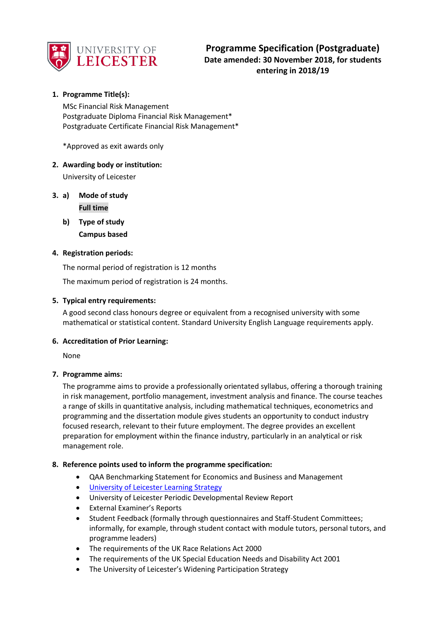

# **1. Programme Title(s):**

MSc Financial Risk Management Postgraduate Diploma Financial Risk Management\* Postgraduate Certificate Financial Risk Management\*

\*Approved as exit awards only

# **2. Awarding body or institution:**

University of Leicester

- **3. a) Mode of study Full time**
	- **b) Type of study Campus based**

# **4. Registration periods:**

The normal period of registration is 12 months

The maximum period of registration is 24 months.

# **5. Typical entry requirements:**

A good second class honours degree or equivalent from a recognised university with some mathematical or statistical content. Standard University English Language requirements apply.

# **6. Accreditation of Prior Learning:**

None

# **7. Programme aims:**

The programme aims to provide a professionally orientated syllabus, offering a thorough training in risk management, portfolio management, investment analysis and finance. The course teaches a range of skills in quantitative analysis, including mathematical techniques, econometrics and programming and the dissertation module gives students an opportunity to conduct industry focused research, relevant to their future employment. The degree provides an excellent preparation for employment within the finance industry, particularly in an analytical or risk management role.

# **8. Reference points used to inform the programme specification:**

- QAA Benchmarking Statement for Economics and Business and Management
- **.** [University of Leicester Learning Strategy](https://www2.le.ac.uk/offices/sas2/quality/documents/learning-strategy-2016-2020)
- University of Leicester Periodic Developmental Review Report
- External Examiner's Reports
- Student Feedback (formally through questionnaires and Staff-Student Committees; informally, for example, through student contact with module tutors, personal tutors, and programme leaders)
- The requirements of the UK Race Relations Act 2000
- The requirements of the UK Special Education Needs and Disability Act 2001
- The University of Leicester's Widening Participation Strategy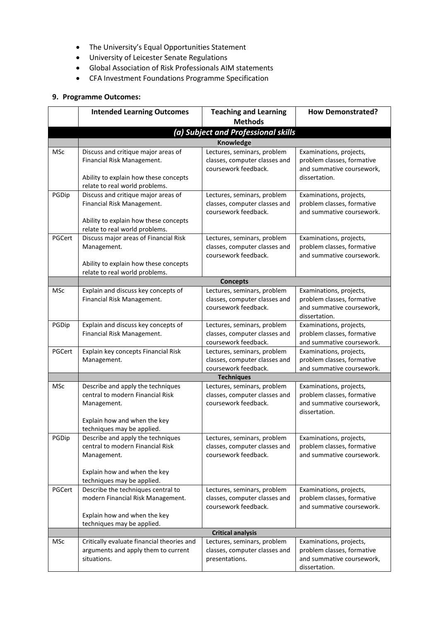- The University's Equal Opportunities Statement
- University of Leicester Senate Regulations
- Global Association of Risk Professionals AIM statements
- CFA Investment Foundations Programme Specification

# **9. Programme Outcomes:**

|            | <b>Intended Learning Outcomes</b>                                       | <b>Teaching and Learning</b>                          | <b>How Demonstrated?</b>                                |  |
|------------|-------------------------------------------------------------------------|-------------------------------------------------------|---------------------------------------------------------|--|
|            |                                                                         | <b>Methods</b>                                        |                                                         |  |
|            |                                                                         | (a) Subject and Professional skills                   |                                                         |  |
|            | <b>Knowledge</b>                                                        |                                                       |                                                         |  |
| <b>MSc</b> | Discuss and critique major areas of                                     | Lectures, seminars, problem                           | Examinations, projects,                                 |  |
|            | Financial Risk Management.                                              | classes, computer classes and                         | problem classes, formative                              |  |
|            |                                                                         | coursework feedback.                                  | and summative coursework,                               |  |
|            | Ability to explain how these concepts                                   |                                                       | dissertation.                                           |  |
| PGDip      | relate to real world problems.<br>Discuss and critique major areas of   | Lectures, seminars, problem                           | Examinations, projects,                                 |  |
|            | Financial Risk Management.                                              | classes, computer classes and                         | problem classes, formative                              |  |
|            |                                                                         | coursework feedback.                                  | and summative coursework.                               |  |
|            | Ability to explain how these concepts                                   |                                                       |                                                         |  |
|            | relate to real world problems.                                          |                                                       |                                                         |  |
| PGCert     | Discuss major areas of Financial Risk                                   | Lectures, seminars, problem                           | Examinations, projects,                                 |  |
|            | Management.                                                             | classes, computer classes and                         | problem classes, formative                              |  |
|            |                                                                         | coursework feedback.                                  | and summative coursework.                               |  |
|            | Ability to explain how these concepts<br>relate to real world problems. |                                                       |                                                         |  |
|            |                                                                         | <b>Concepts</b>                                       |                                                         |  |
| <b>MSc</b> | Explain and discuss key concepts of                                     | Lectures, seminars, problem                           | Examinations, projects,                                 |  |
|            | Financial Risk Management.                                              | classes, computer classes and                         | problem classes, formative                              |  |
|            |                                                                         | coursework feedback.                                  | and summative coursework,                               |  |
|            |                                                                         |                                                       | dissertation.                                           |  |
| PGDip      | Explain and discuss key concepts of                                     | Lectures, seminars, problem                           | Examinations, projects,                                 |  |
|            | Financial Risk Management.                                              | classes, computer classes and                         | problem classes, formative                              |  |
|            |                                                                         | coursework feedback.                                  | and summative coursework.                               |  |
| PGCert     | Explain key concepts Financial Risk                                     | Lectures, seminars, problem                           | Examinations, projects,                                 |  |
|            | Management.                                                             | classes, computer classes and<br>coursework feedback. | problem classes, formative<br>and summative coursework. |  |
|            |                                                                         | <b>Techniques</b>                                     |                                                         |  |
| <b>MSc</b> | Describe and apply the techniques                                       | Lectures, seminars, problem                           | Examinations, projects,                                 |  |
|            | central to modern Financial Risk                                        | classes, computer classes and                         | problem classes, formative                              |  |
|            | Management.                                                             | coursework feedback.                                  | and summative coursework,                               |  |
|            |                                                                         |                                                       | dissertation.                                           |  |
|            | Explain how and when the key                                            |                                                       |                                                         |  |
|            | techniques may be applied.                                              |                                                       |                                                         |  |
| PGDip      | Describe and apply the techniques                                       | Lectures, seminars, problem                           | Examinations, projects,                                 |  |
|            | central to modern Financial Risk<br>Management.                         | classes, computer classes and<br>coursework feedback. | problem classes, formative<br>and summative coursework. |  |
|            |                                                                         |                                                       |                                                         |  |
|            | Explain how and when the key                                            |                                                       |                                                         |  |
|            | techniques may be applied.                                              |                                                       |                                                         |  |
| PGCert     | Describe the techniques central to                                      | Lectures, seminars, problem                           | Examinations, projects,                                 |  |
|            | modern Financial Risk Management.                                       | classes, computer classes and                         | problem classes, formative                              |  |
|            |                                                                         | coursework feedback.                                  | and summative coursework.                               |  |
|            | Explain how and when the key                                            |                                                       |                                                         |  |
|            | techniques may be applied.                                              | <b>Critical analysis</b>                              |                                                         |  |
| MSc        | Critically evaluate financial theories and                              | Lectures, seminars, problem                           | Examinations, projects,                                 |  |
|            | arguments and apply them to current                                     | classes, computer classes and                         | problem classes, formative                              |  |
|            | situations.                                                             | presentations.                                        | and summative coursework,                               |  |
|            |                                                                         |                                                       | dissertation.                                           |  |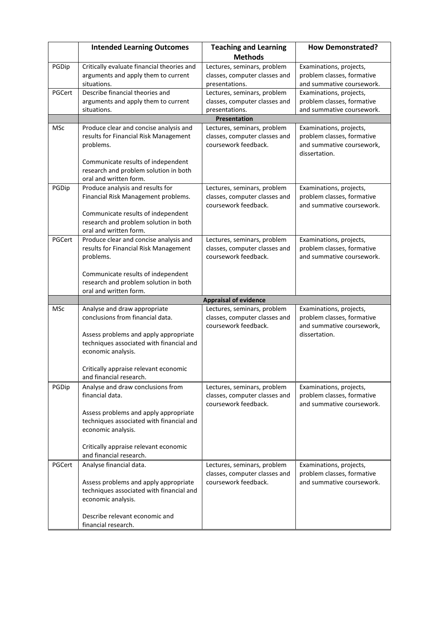|            | <b>Intended Learning Outcomes</b>                                                 | <b>Teaching and Learning</b>                                 | <b>How Demonstrated?</b>                                |
|------------|-----------------------------------------------------------------------------------|--------------------------------------------------------------|---------------------------------------------------------|
|            |                                                                                   | <b>Methods</b>                                               |                                                         |
| PGDip      | Critically evaluate financial theories and<br>arguments and apply them to current | Lectures, seminars, problem<br>classes, computer classes and | Examinations, projects,<br>problem classes, formative   |
|            | situations.                                                                       | presentations.                                               | and summative coursework.                               |
| PGCert     | Describe financial theories and                                                   | Lectures, seminars, problem                                  | Examinations, projects,                                 |
|            | arguments and apply them to current                                               | classes, computer classes and                                | problem classes, formative                              |
|            | situations.                                                                       | presentations.                                               | and summative coursework.                               |
|            |                                                                                   | Presentation                                                 |                                                         |
| MSc        | Produce clear and concise analysis and                                            | Lectures, seminars, problem                                  | Examinations, projects,                                 |
|            | results for Financial Risk Management                                             | classes, computer classes and                                | problem classes, formative                              |
|            | problems.                                                                         | coursework feedback.                                         | and summative coursework,                               |
|            |                                                                                   |                                                              | dissertation.                                           |
|            | Communicate results of independent<br>research and problem solution in both       |                                                              |                                                         |
|            | oral and written form.                                                            |                                                              |                                                         |
| PGDip      | Produce analysis and results for                                                  | Lectures, seminars, problem                                  | Examinations, projects,                                 |
|            | Financial Risk Management problems.                                               | classes, computer classes and                                | problem classes, formative                              |
|            |                                                                                   | coursework feedback.                                         | and summative coursework.                               |
|            | Communicate results of independent                                                |                                                              |                                                         |
|            | research and problem solution in both                                             |                                                              |                                                         |
|            | oral and written form.                                                            |                                                              |                                                         |
| PGCert     | Produce clear and concise analysis and                                            | Lectures, seminars, problem                                  | Examinations, projects,                                 |
|            | results for Financial Risk Management<br>problems.                                | classes, computer classes and<br>coursework feedback.        | problem classes, formative<br>and summative coursework. |
|            |                                                                                   |                                                              |                                                         |
|            | Communicate results of independent                                                |                                                              |                                                         |
|            | research and problem solution in both                                             |                                                              |                                                         |
|            | oral and written form.                                                            |                                                              |                                                         |
|            |                                                                                   | <b>Appraisal of evidence</b>                                 |                                                         |
| <b>MSc</b> | Analyse and draw appropriate                                                      | Lectures, seminars, problem                                  | Examinations, projects,                                 |
|            | conclusions from financial data.                                                  | classes, computer classes and<br>coursework feedback.        | problem classes, formative<br>and summative coursework, |
|            | Assess problems and apply appropriate                                             |                                                              | dissertation.                                           |
|            | techniques associated with financial and                                          |                                                              |                                                         |
|            | economic analysis.                                                                |                                                              |                                                         |
|            |                                                                                   |                                                              |                                                         |
|            | Critically appraise relevant economic                                             |                                                              |                                                         |
|            | and financial research.                                                           |                                                              |                                                         |
| PGDip      | Analyse and draw conclusions from                                                 | Lectures, seminars, problem                                  | Examinations, projects,                                 |
|            | financial data.                                                                   | classes, computer classes and                                | problem classes, formative                              |
|            | Assess problems and apply appropriate                                             | coursework feedback.                                         | and summative coursework.                               |
|            | techniques associated with financial and                                          |                                                              |                                                         |
|            | economic analysis.                                                                |                                                              |                                                         |
|            |                                                                                   |                                                              |                                                         |
|            | Critically appraise relevant economic                                             |                                                              |                                                         |
|            | and financial research.                                                           |                                                              |                                                         |
| PGCert     | Analyse financial data.                                                           | Lectures, seminars, problem                                  | Examinations, projects,                                 |
|            |                                                                                   | classes, computer classes and                                | problem classes, formative                              |
|            | Assess problems and apply appropriate<br>techniques associated with financial and | coursework feedback.                                         | and summative coursework.                               |
|            | economic analysis.                                                                |                                                              |                                                         |
|            |                                                                                   |                                                              |                                                         |
|            | Describe relevant economic and                                                    |                                                              |                                                         |
|            | financial research.                                                               |                                                              |                                                         |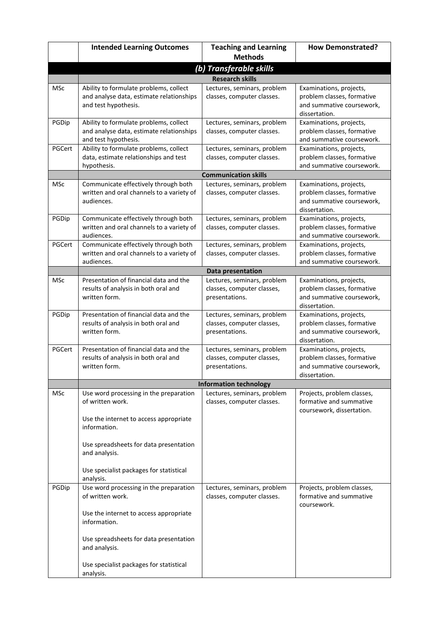|            | <b>Intended Learning Outcomes</b>                                                                          | <b>Teaching and Learning</b>                                                | <b>How Demonstrated?</b>                                                                            |
|------------|------------------------------------------------------------------------------------------------------------|-----------------------------------------------------------------------------|-----------------------------------------------------------------------------------------------------|
|            |                                                                                                            | <b>Methods</b>                                                              |                                                                                                     |
|            |                                                                                                            | (b) Transferable skills                                                     |                                                                                                     |
|            |                                                                                                            | <b>Research skills</b>                                                      |                                                                                                     |
| <b>MSc</b> | Ability to formulate problems, collect<br>and analyse data, estimate relationships<br>and test hypothesis. | Lectures, seminars, problem<br>classes, computer classes.                   | Examinations, projects,<br>problem classes, formative<br>and summative coursework,<br>dissertation. |
| PGDip      | Ability to formulate problems, collect<br>and analyse data, estimate relationships<br>and test hypothesis. | Lectures, seminars, problem<br>classes, computer classes.                   | Examinations, projects,<br>problem classes, formative<br>and summative coursework.                  |
| PGCert     | Ability to formulate problems, collect<br>data, estimate relationships and test<br>hypothesis.             | Lectures, seminars, problem<br>classes, computer classes.                   | Examinations, projects,<br>problem classes, formative<br>and summative coursework.                  |
|            |                                                                                                            | <b>Communication skills</b>                                                 |                                                                                                     |
| <b>MSc</b> | Communicate effectively through both<br>written and oral channels to a variety of<br>audiences.            | Lectures, seminars, problem<br>classes, computer classes.                   | Examinations, projects,<br>problem classes, formative<br>and summative coursework,<br>dissertation. |
| PGDip      | Communicate effectively through both<br>written and oral channels to a variety of<br>audiences.            | Lectures, seminars, problem<br>classes, computer classes.                   | Examinations, projects,<br>problem classes, formative<br>and summative coursework.                  |
| PGCert     | Communicate effectively through both<br>written and oral channels to a variety of<br>audiences.            | Lectures, seminars, problem<br>classes, computer classes.                   | Examinations, projects,<br>problem classes, formative<br>and summative coursework.                  |
|            |                                                                                                            | <b>Data presentation</b>                                                    |                                                                                                     |
| MSc        | Presentation of financial data and the<br>results of analysis in both oral and<br>written form.            | Lectures, seminars, problem<br>classes, computer classes,<br>presentations. | Examinations, projects,<br>problem classes, formative<br>and summative coursework,<br>dissertation. |
| PGDip      | Presentation of financial data and the<br>results of analysis in both oral and<br>written form.            | Lectures, seminars, problem<br>classes, computer classes,<br>presentations. | Examinations, projects,<br>problem classes, formative<br>and summative coursework,<br>dissertation. |
| PGCert     | Presentation of financial data and the<br>results of analysis in both oral and<br>written form.            | Lectures, seminars, problem<br>classes, computer classes,<br>presentations. | Examinations, projects,<br>problem classes, formative<br>and summative coursework,<br>dissertation. |
|            |                                                                                                            | <b>Information technology</b>                                               |                                                                                                     |
| <b>MSc</b> | Use word processing in the preparation<br>of written work.<br>Use the internet to access appropriate       | Lectures, seminars, problem<br>classes, computer classes.                   | Projects, problem classes,<br>formative and summative<br>coursework, dissertation.                  |
|            | information.<br>Use spreadsheets for data presentation                                                     |                                                                             |                                                                                                     |
|            | and analysis.<br>Use specialist packages for statistical<br>analysis.                                      |                                                                             |                                                                                                     |
| PGDip      | Use word processing in the preparation<br>of written work.                                                 | Lectures, seminars, problem<br>classes, computer classes.                   | Projects, problem classes,<br>formative and summative<br>coursework.                                |
|            | Use the internet to access appropriate<br>information.                                                     |                                                                             |                                                                                                     |
|            | Use spreadsheets for data presentation<br>and analysis.                                                    |                                                                             |                                                                                                     |
|            | Use specialist packages for statistical<br>analysis.                                                       |                                                                             |                                                                                                     |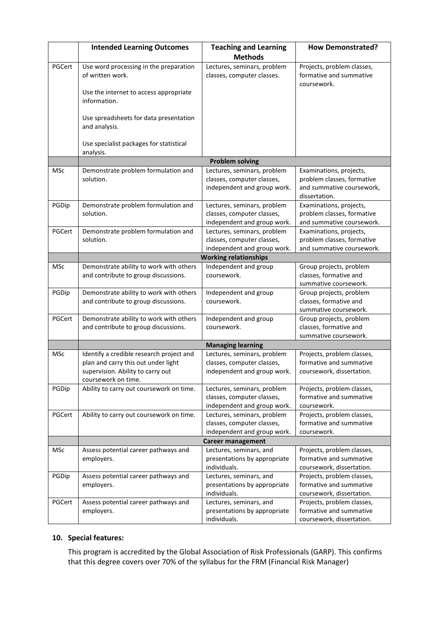|            | <b>Intended Learning Outcomes</b>                                               | <b>Teaching and Learning</b>                               | <b>How Demonstrated?</b>                                             |
|------------|---------------------------------------------------------------------------------|------------------------------------------------------------|----------------------------------------------------------------------|
|            |                                                                                 | <b>Methods</b>                                             |                                                                      |
| PGCert     | Use word processing in the preparation<br>of written work.                      | Lectures, seminars, problem<br>classes, computer classes.  | Projects, problem classes,<br>formative and summative<br>coursework. |
|            | Use the internet to access appropriate<br>information.                          |                                                            |                                                                      |
|            | Use spreadsheets for data presentation<br>and analysis.                         |                                                            |                                                                      |
|            | Use specialist packages for statistical<br>analysis.                            |                                                            |                                                                      |
|            |                                                                                 | <b>Problem solving</b>                                     |                                                                      |
| <b>MSc</b> | Demonstrate problem formulation and                                             | Lectures, seminars, problem                                | Examinations, projects,                                              |
|            | solution.                                                                       | classes, computer classes,                                 | problem classes, formative                                           |
|            |                                                                                 | independent and group work.                                | and summative coursework,<br>dissertation.                           |
| PGDip      | Demonstrate problem formulation and                                             | Lectures, seminars, problem                                | Examinations, projects,                                              |
|            | solution.                                                                       | classes, computer classes,                                 | problem classes, formative                                           |
| PGCert     | Demonstrate problem formulation and                                             | independent and group work.<br>Lectures, seminars, problem | and summative coursework.<br>Examinations, projects,                 |
|            | solution.                                                                       | classes, computer classes,                                 | problem classes, formative                                           |
|            |                                                                                 | independent and group work.                                | and summative coursework.                                            |
|            |                                                                                 | <b>Working relationships</b>                               |                                                                      |
| MSc        | Demonstrate ability to work with others                                         | Independent and group                                      | Group projects, problem                                              |
|            | and contribute to group discussions.                                            | coursework.                                                | classes, formative and<br>summative coursework.                      |
| PGDip      | Demonstrate ability to work with others                                         | Independent and group                                      | Group projects, problem                                              |
|            | and contribute to group discussions.                                            | coursework.                                                | classes, formative and                                               |
|            |                                                                                 |                                                            | summative coursework.                                                |
| PGCert     | Demonstrate ability to work with others<br>and contribute to group discussions. | Independent and group<br>coursework.                       | Group projects, problem<br>classes, formative and                    |
|            |                                                                                 |                                                            | summative coursework.                                                |
|            |                                                                                 | <b>Managing learning</b>                                   |                                                                      |
| MSc        | Identify a credible research project and                                        | Lectures, seminars, problem                                | Projects, problem classes,                                           |
|            | plan and carry this out under light                                             | classes, computer classes,                                 | formative and summative                                              |
|            | supervision. Ability to carry out                                               | independent and group work.                                | coursework, dissertation.                                            |
|            | coursework on time.                                                             |                                                            |                                                                      |
| PGDip      | Ability to carry out coursework on time.                                        | Lectures, seminars, problem                                | Projects, problem classes,                                           |
|            |                                                                                 | classes, computer classes,                                 | formative and summative                                              |
| PGCert     | Ability to carry out coursework on time.                                        | independent and group work.<br>Lectures, seminars, problem | coursework.<br>Projects, problem classes,                            |
|            |                                                                                 | classes, computer classes,                                 | formative and summative                                              |
|            |                                                                                 | independent and group work.                                | coursework.                                                          |
|            |                                                                                 | <b>Career management</b>                                   |                                                                      |
| MSc        | Assess potential career pathways and                                            | Lectures, seminars, and                                    | Projects, problem classes,                                           |
|            | employers.                                                                      | presentations by appropriate                               | formative and summative                                              |
|            |                                                                                 | individuals.                                               | coursework, dissertation.                                            |
| PGDip      | Assess potential career pathways and                                            | Lectures, seminars, and                                    | Projects, problem classes,                                           |
|            | employers.                                                                      | presentations by appropriate                               | formative and summative                                              |
| PGCert     | Assess potential career pathways and                                            | individuals.<br>Lectures, seminars, and                    | coursework, dissertation.<br>Projects, problem classes,              |
|            | employers.                                                                      | presentations by appropriate                               | formative and summative                                              |
|            |                                                                                 | individuals.                                               | coursework, dissertation.                                            |

# **10. Special features:**

This program is accredited by the Global Association of Risk Professionals (GARP). This confirms that this degree covers over 70% of the syllabus for the FRM (Financial Risk Manager)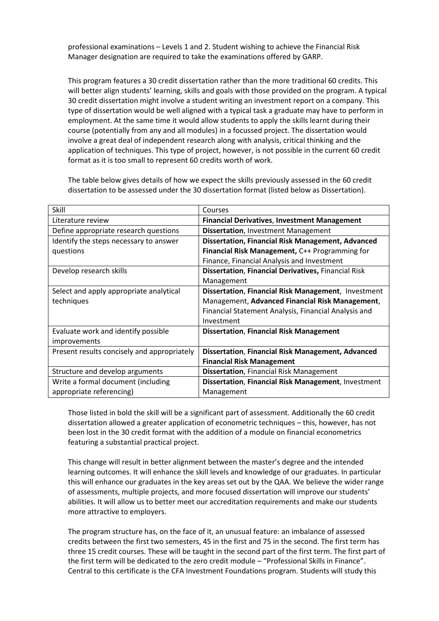professional examinations – Levels 1 and 2. Student wishing to achieve the Financial Risk Manager designation are required to take the examinations offered by GARP.

This program features a 30 credit dissertation rather than the more traditional 60 credits. This will better align students' learning, skills and goals with those provided on the program. A typical 30 credit dissertation might involve a student writing an investment report on a company. This type of dissertation would be well aligned with a typical task a graduate may have to perform in employment. At the same time it would allow students to apply the skills learnt during their course (potentially from any and all modules) in a focussed project. The dissertation would involve a great deal of independent research along with analysis, critical thinking and the application of techniques. This type of project, however, is not possible in the current 60 credit format as it is too small to represent 60 credits worth of work.

The table below gives details of how we expect the skills previously assessed in the 60 credit dissertation to be assessed under the 30 dissertation format (listed below as Dissertation).

| Skill                                       | Courses                                                    |
|---------------------------------------------|------------------------------------------------------------|
| Literature review                           | <b>Financial Derivatives, Investment Management</b>        |
| Define appropriate research questions       | <b>Dissertation, Investment Management</b>                 |
| Identify the steps necessary to answer      | <b>Dissertation, Financial Risk Management, Advanced</b>   |
| questions                                   | Financial Risk Management, C++ Programming for             |
|                                             | Finance, Financial Analysis and Investment                 |
| Develop research skills                     | <b>Dissertation, Financial Derivatives, Financial Risk</b> |
|                                             | Management                                                 |
| Select and apply appropriate analytical     | Dissertation, Financial Risk Management, Investment        |
| techniques                                  | Management, Advanced Financial Risk Management,            |
|                                             | Financial Statement Analysis, Financial Analysis and       |
|                                             | Investment                                                 |
| Evaluate work and identify possible         | <b>Dissertation, Financial Risk Management</b>             |
| <i>improvements</i>                         |                                                            |
| Present results concisely and appropriately | <b>Dissertation, Financial Risk Management, Advanced</b>   |
|                                             | <b>Financial Risk Management</b>                           |
| Structure and develop arguments             | <b>Dissertation, Financial Risk Management</b>             |
| Write a formal document (including          | Dissertation, Financial Risk Management, Investment        |
| appropriate referencing)                    | Management                                                 |

Those listed in bold the skill will be a significant part of assessment. Additionally the 60 credit dissertation allowed a greater application of econometric techniques – this, however, has not been lost in the 30 credit format with the addition of a module on financial econometrics featuring a substantial practical project.

This change will result in better alignment between the master's degree and the intended learning outcomes. It will enhance the skill levels and knowledge of our graduates. In particular this will enhance our graduates in the key areas set out by the QAA. We believe the wider range of assessments, multiple projects, and more focused dissertation will improve our students' abilities. It will allow us to better meet our accreditation requirements and make our students more attractive to employers.

The program structure has, on the face of it, an unusual feature: an imbalance of assessed credits between the first two semesters, 45 in the first and 75 in the second. The first term has three 15 credit courses. These will be taught in the second part of the first term. The first part of the first term will be dedicated to the zero credit module – "Professional Skills in Finance". Central to this certificate is the CFA Investment Foundations program. Students will study this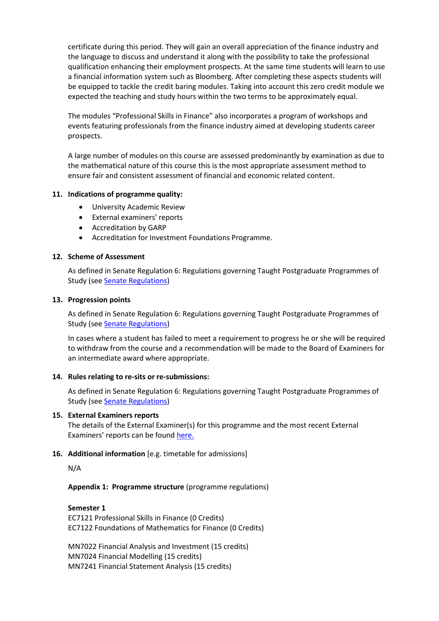certificate during this period. They will gain an overall appreciation of the finance industry and the language to discuss and understand it along with the possibility to take the professional qualification enhancing their employment prospects. At the same time students will learn to use a financial information system such as Bloomberg. After completing these aspects students will be equipped to tackle the credit baring modules. Taking into account this zero credit module we expected the teaching and study hours within the two terms to be approximately equal.

The modules "Professional Skills in Finance" also incorporates a program of workshops and events featuring professionals from the finance industry aimed at developing students career prospects.

A large number of modules on this course are assessed predominantly by examination as due to the mathematical nature of this course this is the most appropriate assessment method to ensure fair and consistent assessment of financial and economic related content.

# **11. Indications of programme quality:**

- University Academic Review
- External examiners' reports
- Accreditation by GARP
- Accreditation for Investment Foundations Programme.

#### **12. Scheme of Assessment**

As defined in Senate Regulation 6: Regulations governing Taught Postgraduate Programmes of Study (see [Senate Regulations\)](http://www2.le.ac.uk/offices/sas2/regulations/general-regulations-for-taught-programmes)

#### **13. Progression points**

As defined in Senate Regulation 6: Regulations governing Taught Postgraduate Programmes of Study (see **Senate Regulations**)

In cases where a student has failed to meet a requirement to progress he or she will be required to withdraw from the course and a recommendation will be made to the Board of Examiners for an intermediate award where appropriate.

#### **14. Rules relating to re-sits or re-submissions:**

As defined in Senate Regulation 6: Regulations governing Taught Postgraduate Programmes of Study (see [Senate Regulations\)](http://www2.le.ac.uk/offices/sas2/regulations/general-regulations-for-taught-programmes)

#### **15. External Examiners reports**

The details of the External Examiner(s) for this programme and the most recent External Examiners' reports can be found [here.](https://exampapers.le.ac.uk/xmlui/)

# **16. Additional information** [e.g. timetable for admissions]

N/A

**Appendix 1: Programme structure** (programme regulations)

#### **Semester 1**

EC7121 Professional Skills in Finance (0 Credits) EC7122 Foundations of Mathematics for Finance (0 Credits)

MN7022 Financial Analysis and Investment (15 credits) MN7024 Financial Modelling (15 credits) MN7241 Financial Statement Analysis (15 credits)